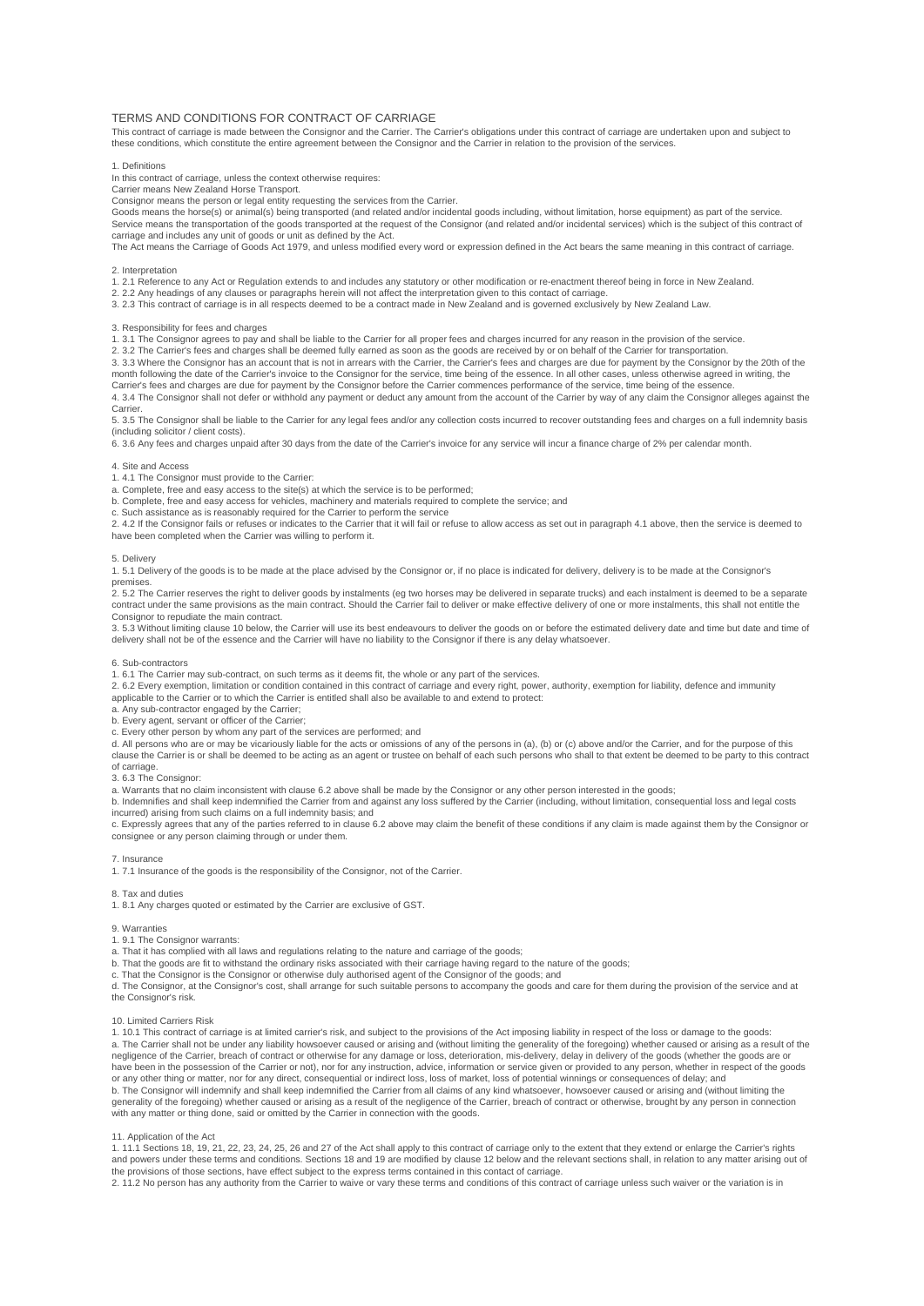# TERMS AND CONDITIONS FOR CONTRACT OF CARRIAGE

This contract of carriage is made between the Consignor and the Carrier. The Carrier's obligations under this contract of carriage are undertaken upon and subject to these conditions, which constitute the entire agreement between the Consignor and the Carrier in relation to the provision of the services.

#### 1. Definitions

In this contract of carriage, unless the context otherwise requires:

Carrier means New Zealand Horse Transport. Consignor means the person or legal entity requesting the services from the Carrier.

Goods means the horse(s) or animal(s) being transported (and related and/or incidental goods including, without limitation, horse equipment) as part of the service. Service means the transportation of the goods transported at the request of the Consignor (and related and/or incidental services) which is the subject of this contract of carriage and includes any unit of goods or unit as defined by the Act.

The Act means the Carriage of Goods Act 1979, and unless modified every word or expression defined in the Act bears the same meaning in this contract of carriage.

### 2. Interpretation

1. 2.1 Reference to any Act or Regulation extends to and includes any statutory or other modification or re-enactment thereof being in force in New Zealand.

2. 2.2 Any headings of any clauses or paragraphs herein will not affect the interpretation given to this contact of carriage.

3. 2.3 This contract of carriage is in all respects deemed to be a contract made in New Zealand and is governed exclusively by New Zealand Law.

### 3. Responsibility for fees and charges

1. 3.1 The Consignor agrees to pay and shall be liable to the Carrier for all proper fees and charges incurred for any reason in the provision of the service.

2. 3.2 The Carrier's fees and charges shall be deemed fully earned as soon as the goods are received by or on behalf of the Carrier for transportation.<br>3. 3.3 Where the Consignor has an account that is not in arrears with month following the date of the Carrier's invoice to the Consignor for the service, time being of the essence. In all other cases, unless otherwise agreed in writing, the

Carrier's fees and charges are due for payment by the Consignor before the Carrier commences performance of the service, time being of the essence.<br>4. 3.4 The Consignor shall not defer or withhold any payment or deduct any

**Carrier** 

5. 3.5 The Consignor shall be liable to the Carrier for any legal fees and/or any collection costs incurred to recover outstanding fees and charges on a full indemnity basis (including solicitor / client costs).

6. 3.6 Any fees and charges unpaid after 30 days from the date of the Carrier's invoice for any service will incur a finance charge of 2% per calendar month.

# 4. Site and Access

1. 4.1 The Consignor must provide to the Carrier:

a. Complete, free and easy access to the site(s) at which the service is to be performed;

b. Complete, free and easy access for vehicles, machinery and materials required to complete the service; and

c. Such assistance as is reasonably required for the Carrier to perform the service

2. 4.2 If the Consignor fails or refuses or indicates to the Carrier that it will fail or refuse to allow access as set out in paragraph 4.1 above, then the service is deemed to have been completed when the Carrier was willing to perform it.

### 5. Delivery

1. 5.1 Delivery of the goods is to be made at the place advised by the Consignor or, if no place is indicated for delivery, delivery is to be made at the Consignor's premises.

2. 5.2 The Carrier reserves the right to deliver goods by instalments (eg two horses may be delivered in separate trucks) and each instalment is deemed to be a separate contract under the same provisions as the main contract. Should the Carrier fail to deliver or make effective delivery of one or more instalments, this shall not entitle the Consignor to repudiate the main contract.

3. 5.3 Without limiting clause 10 below, the Carrier will use its best endeavours to deliver the goods on or before the estimated delivery date and time but date and time of delivery shall not be of the essence and the Carrier will have no liability to the Consignor if there is any delay whatsoever.

#### 6. Sub-contractors

1. 6.1 The Carrier may sub-contract, on such terms as it deems fit, the whole or any part of the services.

2. 6.2 Every exemption, limitation or condition contained in this contract of carriage and every right, power, authority, exemption for liability, defence and immunity

applicable to the Carrier or to which the Carrier is entitled shall also be available to and extend to protect:

a. Any sub-contractor engaged by the Carrier; b. Every agent, servant or officer of the Carrier;

c. Every other person by whom any part of the services are performed; and

d. All persons who are or may be vicariously liable for the acts or omissions of any of the persons in (a), (b) or (c) above and/or the Carrier, and for the purpose of this clause the Carrier is or shall be deemed to be acting as an agent or trustee on behalf of each such persons who shall to that extent be deemed to be party to this contract of carriage.

3. 6.3 The Consignor:

a. Warrants that no claim inconsistent with clause 6.2 above shall be made by the Consignor or any other person interested in the goods;

b. Indemnifies and shall keep indemnified the Carrier from and against any loss suffered by the Carrier (including, without limitation, consequential loss and legal costs incurred) arising from such claims on a full indemnity basis; and

c. Expressly agrees that any of the parties referred to in clause 6.2 above may claim the benefit of these conditions if any claim is made against them by the Consignor or consignee or any person claiming through or under them.

## 7. Insurance

1. 7.1 Insurance of the goods is the responsibility of the Consignor, not of the Carrier.

### 8. Tax and duties

1. 8.1 Any charges quoted or estimated by the Carrier are exclusive of GST.

9. Warranties

1. 9.1 The Consignor warrants:

a. That it has complied with all laws and regulations relating to the nature and carriage of the goods;

b. That the goods are fit to withstand the ordinary risks associated with their carriage having regard to the nature of the goods;

c. That the Consignor is the Consignor or otherwise duly authorised agent of the Consignor of the goods; and

d. The Consignor, at the Consignor's cost, shall arrange for such suitable persons to accompany the goods and care for them during the provision of the service and at the Consignor's risk.

#### 10. Limited Carriers Risk

1. 10.1 This contract of carriage is at limited carrier's risk, and subject to the provisions of the Act imposing liability in respect of the loss or damage to the goods: a. The Carrier shall not be under any liability howsoever caused or arising and (without limiting the generality of the foregoing) whether caused or arising as a result of the negligence of the Carrier, breach of contract or otherwise for any damage or loss, deterioration, mis-delivery, delay in delivery of the goods (whether the goods are or<br>have been in the possession of the Carrier or not), n or any other thing or matter, nor for any direct, consequential or indirect loss, loss of market, loss of potential winnings or consequences of delay; and<br>b. The Consignor will indemnify and shall keep indemnified the Carr generality of the foregoing) whether caused or arising as a result of the negligence of the Carrier, breach of contract or otherwise, brought by any person in connection with any matter or thing done, said or omitted by the Carrier in connection with the goods.

# 11. Application of the Act

1. 11.1 Sections 18, 19, 21, 22, 23, 24, 25, 26 and 27 of the Act shall apply to this contract of carriage only to the extent that they extend or enlarge the Carrier's rights and powers under these terms and conditions. Sections 18 and 19 are modified by clause 12 below and the relevant sections shall, in relation to any matter arising out of the provisions of those sections, have effect subject to the express terms contained in this contact of carriage.

2. 11.2 No person has any authority from the Carrier to waive or vary these terms and conditions of this contract of carriage unless such waiver or the variation is in